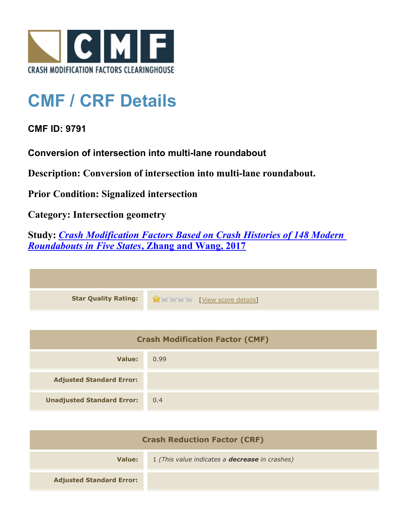

## **CMF / CRF Details**

## **CMF ID: 9791**

**Conversion of intersection into multi-lane roundabout**

**Description: Conversion of intersection into multi-lane roundabout.**

**Prior Condition: Signalized intersection**

**Category: Intersection geometry**

**Study:** *[Crash Modification Factors Based on Crash Histories of 148 Modern](http://www.cmfclearinghouse.org/study_detail.cfm?stid=547) [Roundabouts in Five States](http://www.cmfclearinghouse.org/study_detail.cfm?stid=547)***[, Zhang and Wang, 2017](http://www.cmfclearinghouse.org/study_detail.cfm?stid=547)**

| Star Quality Rating: 1999 [View score details] |
|------------------------------------------------|

| <b>Crash Modification Factor (CMF)</b> |      |
|----------------------------------------|------|
| Value:                                 | 0.99 |
| <b>Adjusted Standard Error:</b>        |      |
| <b>Unadjusted Standard Error:</b>      | 0.4  |

| <b>Crash Reduction Factor (CRF)</b> |                                                       |
|-------------------------------------|-------------------------------------------------------|
| Value:                              | 1 (This value indicates a <b>decrease</b> in crashes) |
| <b>Adjusted Standard Error:</b>     |                                                       |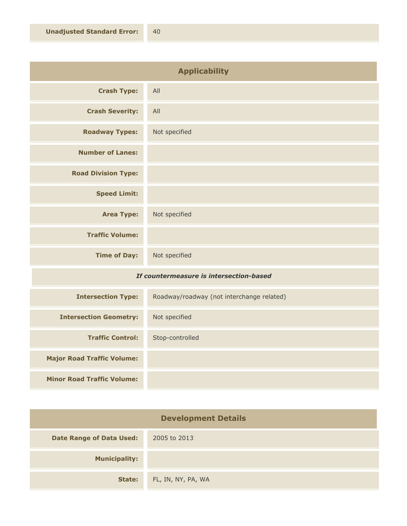| <b>Applicability</b>                    |                                           |
|-----------------------------------------|-------------------------------------------|
| <b>Crash Type:</b>                      | All                                       |
| <b>Crash Severity:</b>                  | All                                       |
| <b>Roadway Types:</b>                   | Not specified                             |
| <b>Number of Lanes:</b>                 |                                           |
| <b>Road Division Type:</b>              |                                           |
| <b>Speed Limit:</b>                     |                                           |
| <b>Area Type:</b>                       | Not specified                             |
| <b>Traffic Volume:</b>                  |                                           |
| <b>Time of Day:</b>                     | Not specified                             |
| If countermeasure is intersection-based |                                           |
| <b>Intersection Type:</b>               | Roadway/roadway (not interchange related) |

| <b>Intersection Type:</b>         | Roadway/roadway (not interchange related) |
|-----------------------------------|-------------------------------------------|
| <b>Intersection Geometry:</b>     | Not specified                             |
| <b>Traffic Control:</b>           | Stop-controlled                           |
| <b>Major Road Traffic Volume:</b> |                                           |
| <b>Minor Road Traffic Volume:</b> |                                           |

| <b>Development Details</b>      |                    |
|---------------------------------|--------------------|
| <b>Date Range of Data Used:</b> | 2005 to 2013       |
| <b>Municipality:</b>            |                    |
| <b>State:</b>                   | FL, IN, NY, PA, WA |